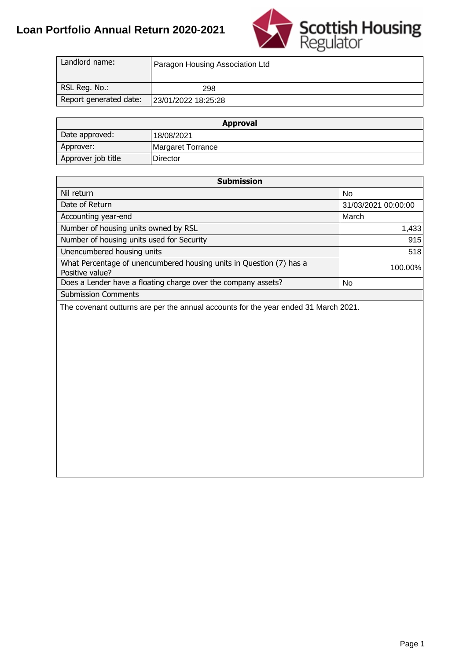#### **Loan Portfolio Annual Return 2020-2021**



| Landlord name:         | Paragon Housing Association Ltd |
|------------------------|---------------------------------|
| RSL Reg. No.:          | 298                             |
| Report generated date: | 23/01/2022 18:25:28             |

|                    | <b>Approval</b>   |  |  |  |  |  |  |  |  |  |
|--------------------|-------------------|--|--|--|--|--|--|--|--|--|
| Date approved:     | 18/08/2021        |  |  |  |  |  |  |  |  |  |
| Approver:          | Margaret Torrance |  |  |  |  |  |  |  |  |  |
| Approver job title | Director          |  |  |  |  |  |  |  |  |  |

| Langiorg name:                            | Paragon Housing Association Ltd                                     |                     |
|-------------------------------------------|---------------------------------------------------------------------|---------------------|
| RSL Reg. No.:                             | 298                                                                 |                     |
| Report generated date:                    | 23/01/2022 18:25:28                                                 |                     |
|                                           |                                                                     |                     |
|                                           | <b>Approval</b>                                                     |                     |
| Date approved:                            | 18/08/2021                                                          |                     |
| Approver:                                 | Margaret Torrance                                                   |                     |
| Approver job title                        | Director                                                            |                     |
|                                           |                                                                     |                     |
|                                           | <b>Submission</b>                                                   |                     |
| Nil return                                |                                                                     | <b>No</b>           |
| Date of Return                            |                                                                     | 31/03/2021 00:00:00 |
| Accounting year-end                       |                                                                     | March               |
| Number of housing units owned by RSL      |                                                                     | 1,433               |
| Number of housing units used for Security |                                                                     | 915                 |
| Unencumbered housing units                |                                                                     | 518                 |
|                                           | What Percentage of unencumbered housing units in Question (7) has a |                     |
| Positive value?                           |                                                                     | 100.00%             |
|                                           | Does a Lender have a floating charge over the company assets?       | <b>No</b>           |
| <b>Submission Comments</b>                |                                                                     |                     |
|                                           |                                                                     |                     |
|                                           |                                                                     |                     |
|                                           |                                                                     | Page 1              |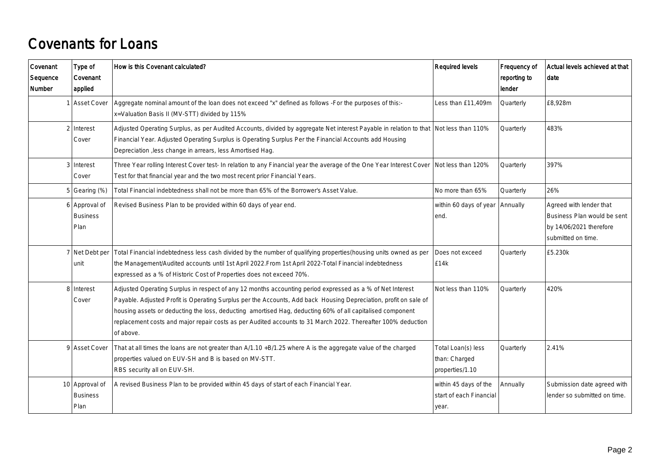### Covenants for Loans

| Covenant<br>Sequence<br>Number | Type of<br>Covenant<br>applied            | How is this Covenant calculated?                                                                                                                                                                                                                                                                                                                                                                                                                                        | <b>Required levels</b>                                    | Frequency of<br>reporting to<br>lender | Actual levels achieved at that<br>date                                                                  |
|--------------------------------|-------------------------------------------|-------------------------------------------------------------------------------------------------------------------------------------------------------------------------------------------------------------------------------------------------------------------------------------------------------------------------------------------------------------------------------------------------------------------------------------------------------------------------|-----------------------------------------------------------|----------------------------------------|---------------------------------------------------------------------------------------------------------|
|                                | <b>Asset Cover</b>                        | Aggregate nominal amount of the loan does not exceed "x" defined as follows -For the purposes of this:-<br>x=Valuation Basis II (MV-STT) divided by 115%                                                                                                                                                                                                                                                                                                                | Less than £11,409m                                        | Quarterly                              | £8.928m                                                                                                 |
|                                | $2$ Interest<br>Cover                     | Adjusted Operating Surplus, as per Audited Accounts, divided by aggregate Net interest Payable in relation to that Not less than 110%<br>Financial Year. Adjusted Operating Surplus is Operating Surplus Per the Financial Accounts add Housing<br>Depreciation , less change in arrears, less Amortised Hag.                                                                                                                                                           |                                                           | Quarterly                              | 483%                                                                                                    |
|                                | 3 Interest<br>Cover                       | Three Year rolling Interest Cover test- In relation to any Financial year the average of the One Year Interest Cover<br>Test for that financial year and the two most recent prior Financial Years.                                                                                                                                                                                                                                                                     | Not less than 120%                                        | Quarterly                              | 397%                                                                                                    |
|                                | $5$ Gearing (%)                           | Total Financial indebtedness shall not be more than 65% of the Borrower's Asset Value.                                                                                                                                                                                                                                                                                                                                                                                  | No more than 65%                                          | Quarterly                              | 26%                                                                                                     |
|                                | 6 Approval of<br><b>Business</b><br>Plan  | Revised Business Plan to be provided within 60 days of year end.                                                                                                                                                                                                                                                                                                                                                                                                        | within 60 days of year<br>end.                            | Annually                               | Agreed with lender that<br>Business Plan would be sent<br>by 14/06/2021 therefore<br>submitted on time. |
|                                | 7 Net Debt per<br>unit                    | Total Financial indebtedness less cash divided by the number of qualifying properties(housing units owned as per<br>the Management/Audited accounts until 1st April 2022. From 1st April 2022-Total Financial indebtedness<br>expressed as a % of Historic Cost of Properties does not exceed 70%.                                                                                                                                                                      | Does not exceed<br>E14k                                   | Quarterly                              | £5.230k                                                                                                 |
|                                | 8 Interest<br>Cover                       | Adjusted Operating Surplus in respect of any 12 months accounting period expressed as a % of Net Interest<br>Payable. Adjusted Profit is Operating Surplus per the Accounts, Add back Housing Depreciation, profit on sale of<br>housing assets or deducting the loss, deducting amortised Hag, deducting 60% of all capitalised component<br>replacement costs and major repair costs as per Audited accounts to 31 March 2022. Thereafter 100% deduction<br>of above. | Not less than 110%                                        | Quarterly                              | 420%                                                                                                    |
|                                | 9 Asset Cover                             | That at all times the loans are not greater than A/1.10 +B/1.25 where A is the aggregate value of the charged<br>properties valued on EUV-SH and B is based on MV-STT.<br>RBS security all on EUV-SH.                                                                                                                                                                                                                                                                   | Total Loan(s) less<br>than: Charged<br>properties/1.10    | Quarterly                              | 2.41%                                                                                                   |
|                                | 10 Approval of<br><b>Business</b><br>Plan | A revised Business Plan to be provided within 45 days of start of each Financial Year.                                                                                                                                                                                                                                                                                                                                                                                  | within 45 days of the<br>start of each Financial<br>year. | Annually                               | Submission date agreed with<br>lender so submitted on time.                                             |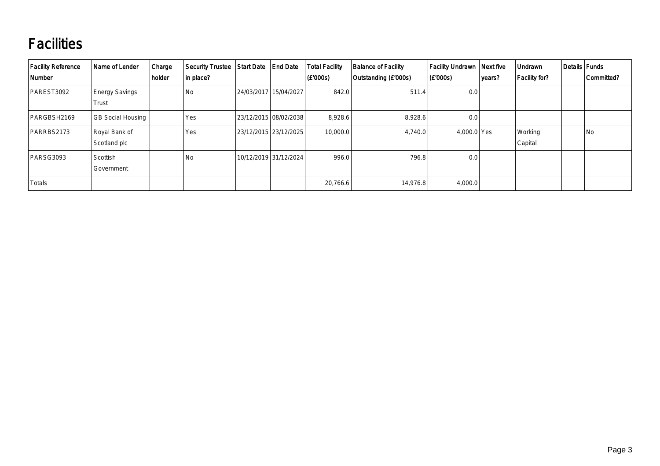## **Facilities**

| Facility Reference<br><b>Number</b> | Name of Lender                 | Charge<br>holder | <b>Security Trustee</b><br>in place? | Start Date   End Date |                       | <b>Total Facility</b><br>$ $ (£'000s) | <b>Balance of Facility</b><br>Outstanding (£'000s) | Facility Undrawn   Next five<br>(E'000s) | years? | Undrawn<br>Facility for? | Details Funds | Committed? |
|-------------------------------------|--------------------------------|------------------|--------------------------------------|-----------------------|-----------------------|---------------------------------------|----------------------------------------------------|------------------------------------------|--------|--------------------------|---------------|------------|
| PAREST3092                          | <b>Energy Savings</b><br>Trust |                  | <b>No</b>                            |                       | 24/03/2017 15/04/2027 | 842.0                                 | 511.4                                              | 0.0                                      |        |                          |               |            |
| PARGBSH2169                         | <b>GB Social Housing</b>       |                  | Yes                                  |                       | 23/12/2015 08/02/2038 | 8,928.6                               | 8,928.6                                            | 0.0                                      |        |                          |               |            |
| PARRBS2173                          | Royal Bank of<br>Scotland plc  |                  | Yes                                  |                       | 23/12/2015 23/12/2025 | 10,000.0                              | 4.740.0                                            | 4,000.0 Yes                              |        | Working<br>Capital       |               | No         |
| PARSG3093                           | Scottish<br>Government         |                  | <b>No</b>                            |                       | 10/12/2019 31/12/2024 | 996.0                                 | 796.8                                              | 0.0                                      |        |                          |               |            |
| Totals                              |                                |                  |                                      |                       |                       | 20,766.6                              | 14,976.8                                           | 4,000.0                                  |        |                          |               |            |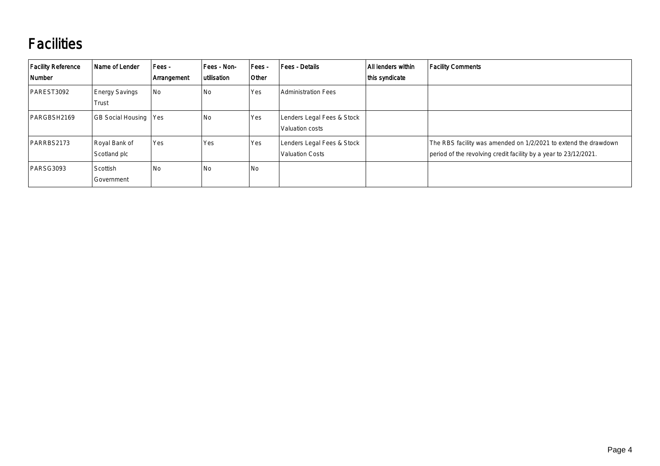## **Facilities**

| <b>Facility Reference</b><br>Number | Name of Lender                 | Fees -<br>Arrangement | Fees - Non-<br>utilisation | Fees -<br>Other | <b>Fees - Details</b>                                | All lenders within<br>this syndicate | <b>Facility Comments</b>                                                                                                            |
|-------------------------------------|--------------------------------|-----------------------|----------------------------|-----------------|------------------------------------------------------|--------------------------------------|-------------------------------------------------------------------------------------------------------------------------------------|
| PAREST3092                          | <b>Energy Savings</b><br>Trust | No                    | No                         | Yes             | <b>Administration Fees</b>                           |                                      |                                                                                                                                     |
| PARGBSH2169                         | GB Social Housing   Yes        |                       | No                         | Yes             | Lenders Legal Fees & Stock<br>Valuation costs        |                                      |                                                                                                                                     |
| PARRBS2173                          | Royal Bank of<br>Scotland plc  | Yes                   | Yes                        | Yes             | Lenders Legal Fees & Stock<br><b>Valuation Costs</b> |                                      | The RBS facility was amended on 1/2/2021 to extend the drawdown<br>period of the revolving credit facility by a year to 23/12/2021. |
| PARSG3093                           | Scottish<br>Government         | No                    | No                         | No              |                                                      |                                      |                                                                                                                                     |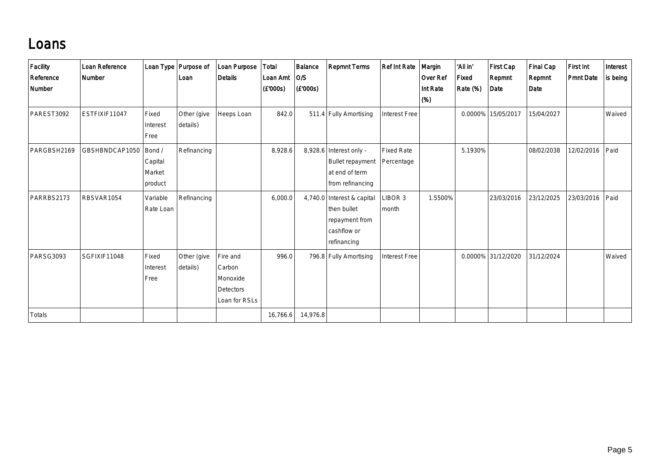#### Loans

| Facility<br>Reference<br>Number | Loan Reference<br>Number |                                        | Loan Type   Purpose of<br>Loan | Loan Purpose<br><b>Details</b>                               | <b>Total</b><br>Loan Amt<br>(E'000s) | Balance<br> O/S <br>(E'000s) | <b>Repmnt Terms</b>                                                                        | <b>Ref Int Rate</b>             | Margin<br><b>Over Ref</b><br>Int Rate<br>(%) | 'All in'<br>Fixed<br>Rate (%) | First Cap<br>Repmnt<br>Date | <b>Final Cap</b><br>Repmnt<br>Date | First Int<br><b>Pmnt Date</b> | Interest<br>is being |
|---------------------------------|--------------------------|----------------------------------------|--------------------------------|--------------------------------------------------------------|--------------------------------------|------------------------------|--------------------------------------------------------------------------------------------|---------------------------------|----------------------------------------------|-------------------------------|-----------------------------|------------------------------------|-------------------------------|----------------------|
| PAREST3092                      | ESTFIXIF11047            | Fixed<br>Interest<br>Free              | Other (give<br>details)        | Heeps Loan                                                   | 842.0                                |                              | 511.4 Fully Amortising                                                                     | Interest Free                   |                                              |                               | 0.0000% 15/05/2017          | 15/04/2027                         |                               | Waived               |
| PARGBSH2169                     | GBSHBNDCAP1050           | Bond /<br>Capital<br>Market<br>product | Refinancing                    |                                                              | 8,928.6                              |                              | $8,928.6$ Interest only -<br><b>Bullet repayment</b><br>at end of term<br>from refinancing | <b>Fixed Rate</b><br>Percentage |                                              | 5.1930%                       |                             | 08/02/2038                         | 12/02/2016                    | Paid                 |
| PARRBS2173                      | RBSVAR1054               | Variable<br>Rate Loan                  | Refinancing                    |                                                              | 6,000.0                              |                              | 4,740.0 Interest & capital<br>then bullet<br>repayment from<br>cashflow or<br>refinancing  | LIBOR 3<br>month                | 1.5500%                                      |                               | 23/03/2016                  | 23/12/2025                         | 23/03/2016                    | Paid                 |
| <b>PARSG3093</b>                | SGFIXIF11048             | Fixed<br>Interest<br>Free              | Other (give<br>details)        | Fire and<br>Carbon<br>Monoxide<br>Detectors<br>Loan for RSLs | 996.0                                |                              | 796.8 Fully Amortising                                                                     | Interest Free                   |                                              |                               | 0.0000% 31/12/2020          | 31/12/2024                         |                               | Waived               |
| Totals                          |                          |                                        |                                |                                                              | 16,766.6                             | 14,976.8                     |                                                                                            |                                 |                                              |                               |                             |                                    |                               |                      |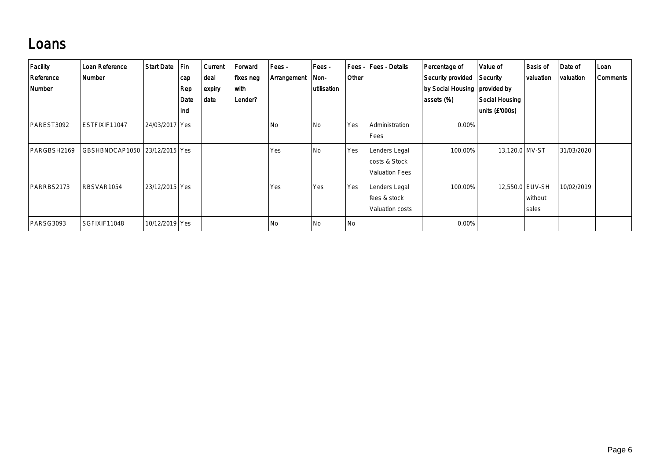#### Loans

| Facility<br>Reference<br>Number | Loan Reference<br>Number      | Start Date       | Fin<br>cap<br>Rep<br>Date<br>Ind | <b>Current</b><br>∣deal<br>$\vert$ expiry<br>∣date | Forward<br>fixes neg<br>with<br>Lender? | Fees -<br>Arrangement | Fees -<br>Non-<br>utilisation | Fees -<br>Other | Fees - Details                                          | Percentage of<br>Security provided<br>by Social Housing   provided by<br>assets (%) | Value of<br>Security<br>Social Housing<br>units (£'000s) | <b>Basis of</b><br>valuation | Date of<br>valuation | Loan<br>Comments |
|---------------------------------|-------------------------------|------------------|----------------------------------|----------------------------------------------------|-----------------------------------------|-----------------------|-------------------------------|-----------------|---------------------------------------------------------|-------------------------------------------------------------------------------------|----------------------------------------------------------|------------------------------|----------------------|------------------|
| PAREST3092                      | ESTFIXIF11047                 | 24/03/2017   Yes |                                  |                                                    |                                         | l No                  | N <sub>o</sub>                | Yes             | Administration<br>Fees                                  | $0.00\%$                                                                            |                                                          |                              |                      |                  |
| PARGBSH2169                     | GBSHBNDCAP1050 23/12/2015 Yes |                  |                                  |                                                    |                                         | Yes                   | N <sub>o</sub>                | Yes             | Lenders Legal<br>costs & Stock<br><b>Valuation Fees</b> | 100.00%                                                                             | 13,120.0 MV-ST                                           |                              | 31/03/2020           |                  |
| PARRBS2173                      | RBSVAR1054                    | 23/12/2015   Yes |                                  |                                                    |                                         | Yes                   | Yes                           | Yes             | Lenders Legal<br>fees & stock<br>Valuation costs        | 100.00%                                                                             | 12,550.0 EUV-SH                                          | without<br>sales             | 10/02/2019           |                  |
| PARSG3093                       | SGFIXIF11048                  | 10/12/2019   Yes |                                  |                                                    |                                         | l No                  | N <sub>o</sub>                | No              |                                                         | 0.00%                                                                               |                                                          |                              |                      |                  |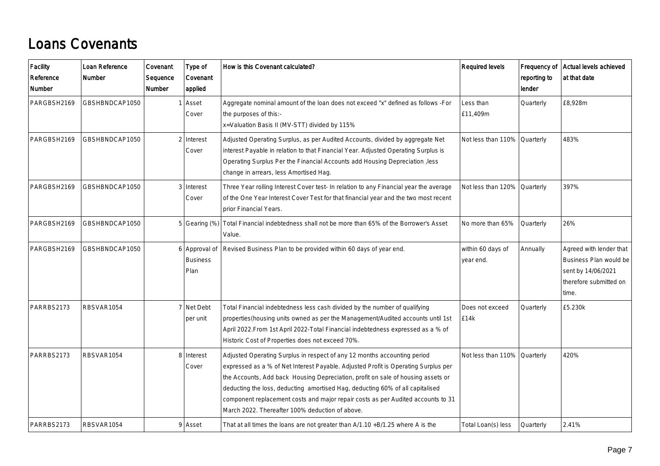### Loans Covenants

| Facility<br>Reference<br>Number | Loan Reference<br><b>Number</b> | Covenant<br>Sequence<br>Number | Type of<br>Covenant<br>applied           | How is this Covenant calculated?                                                                                                                                                                                                                                                                                                                                                                                                                                           | <b>Required levels</b>         | Frequency of<br>reporting to<br>lender | Actual levels achieved<br>at that date                                                                     |
|---------------------------------|---------------------------------|--------------------------------|------------------------------------------|----------------------------------------------------------------------------------------------------------------------------------------------------------------------------------------------------------------------------------------------------------------------------------------------------------------------------------------------------------------------------------------------------------------------------------------------------------------------------|--------------------------------|----------------------------------------|------------------------------------------------------------------------------------------------------------|
| PARGBSH2169                     | GBSHBNDCAP1050                  |                                | Asset<br>Cover                           | Aggregate nominal amount of the loan does not exceed "x" defined as follows -For<br>the purposes of this:-<br>x=Valuation Basis II (MV-STT) divided by 115%                                                                                                                                                                                                                                                                                                                | Less than<br>£11,409m          | Quarterly                              | £8,928m                                                                                                    |
| PARGBSH2169                     | GBSHBNDCAP1050                  |                                | 2 Interest<br>Cover                      | Adjusted Operating Surplus, as per Audited Accounts, divided by aggregate Net<br>interest Payable in relation to that Financial Year. Adjusted Operating Surplus is<br>Operating Surplus Per the Financial Accounts add Housing Depreciation , less<br>change in arrears, less Amortised Hag.                                                                                                                                                                              | Not less than 110%             | Quarterly                              | 483%                                                                                                       |
| PARGBSH2169                     | GBSHBNDCAP1050                  |                                | 3 Interest<br>Cover                      | Three Year rolling Interest Cover test- In relation to any Financial year the average<br>of the One Year Interest Cover Test for that financial year and the two most recent<br>prior Financial Years.                                                                                                                                                                                                                                                                     | Not less than 120%             | <b>Quarterly</b>                       | 397%                                                                                                       |
| PARGBSH2169                     | GBSHBNDCAP1050                  |                                |                                          | 5 Gearing (%) Total Financial indebtedness shall not be more than 65% of the Borrower's Asset<br>Value.                                                                                                                                                                                                                                                                                                                                                                    | No more than 65%               | Quarterly                              | 26%                                                                                                        |
| PARGBSH2169                     | GBSHBNDCAP1050                  |                                | 6 Approval of<br><b>Business</b><br>Plan | Revised Business Plan to be provided within 60 days of year end.                                                                                                                                                                                                                                                                                                                                                                                                           | within 60 days of<br>year end. | Annually                               | Agreed with lender that<br>Business Plan would be<br>sent by 14/06/2021<br>therefore submitted on<br>time. |
| PARRBS2173                      | RBSVAR1054                      |                                | 7 Net Debt<br>per unit                   | Total Financial indebtedness less cash divided by the number of qualifying<br>properties(housing units owned as per the Management/Audited accounts until 1st<br>April 2022. From 1st April 2022-Total Financial indebtedness expressed as a % of<br>Historic Cost of Properties does not exceed 70%.                                                                                                                                                                      | Does not exceed<br>£14k        | Quarterly                              | £5.230k                                                                                                    |
| PARRBS2173                      | RBSVAR1054                      |                                | 8 Interest<br>Cover                      | Adjusted Operating Surplus in respect of any 12 months accounting period<br>expressed as a % of Net Interest Payable. Adjusted Profit is Operating Surplus per<br>the Accounts, Add back Housing Depreciation, profit on sale of housing assets or<br>deducting the loss, deducting amortised Hag, deducting 60% of all capitalised<br>component replacement costs and major repair costs as per Audited accounts to 31<br>March 2022. Thereafter 100% deduction of above. | Not less than 110% Quarterly   |                                        | 420%                                                                                                       |
| PARRBS2173                      | RBSVAR1054                      |                                | 9 Asset                                  | That at all times the loans are not greater than $A/1.10 + B/1.25$ where A is the                                                                                                                                                                                                                                                                                                                                                                                          | Total Loan(s) less             | Quarterly                              | 2.41%                                                                                                      |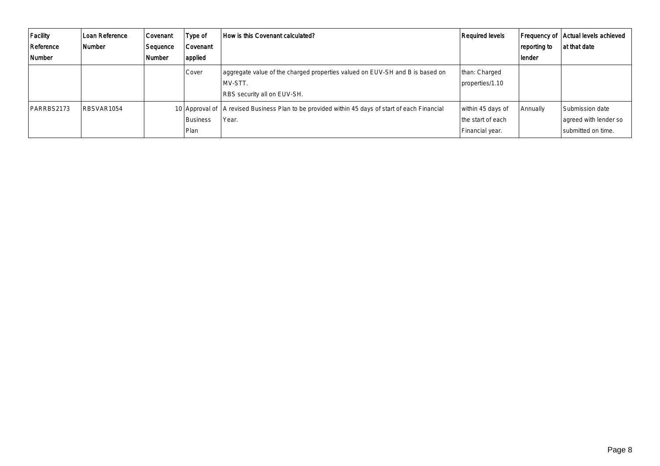| Facility<br>Reference<br>Number | Loan Reference<br>Number | Covenant<br>Sequence<br><b>Number</b> | Type of<br>Covenant<br>applied | How is this Covenant calculated?                                                                                       | Required levels                                           | reporting to<br>lender | Frequency of   Actual levels achieved<br>at that date            |
|---------------------------------|--------------------------|---------------------------------------|--------------------------------|------------------------------------------------------------------------------------------------------------------------|-----------------------------------------------------------|------------------------|------------------------------------------------------------------|
|                                 |                          |                                       | Cover                          | aggregate value of the charged properties valued on EUV-SH and B is based on<br>MV-STT.<br>RBS security all on EUV-SH. | than: Charged<br>properties/1.10                          |                        |                                                                  |
| PARRBS2173                      | RBSVAR1054               |                                       | Business<br>  Plan             | 10 Approval of   A revised Business Plan to be provided within 45 days of start of each Financial<br>Year.             | within 45 days of<br>the start of each<br>Financial year. | Annually               | l Submission date<br>agreed with lender so<br>submitted on time. |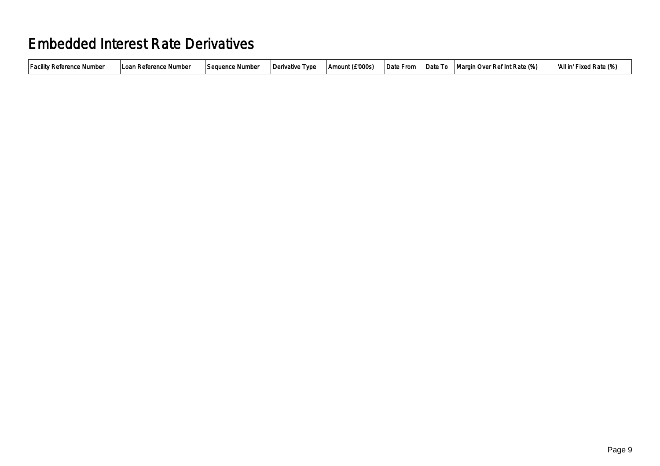#### Embedded Interest Rate Derivatives

| <b>Facility Reference Number</b><br>l Loan Reference Number | Sequence Number | Derivative Type | Amount (£'000s) | Date From | ⊺Date To | Margin Over Ref Int Rate (%) | 'All in' Fixed Rate (%) |
|-------------------------------------------------------------|-----------------|-----------------|-----------------|-----------|----------|------------------------------|-------------------------|
|                                                             |                 |                 |                 |           |          |                              |                         |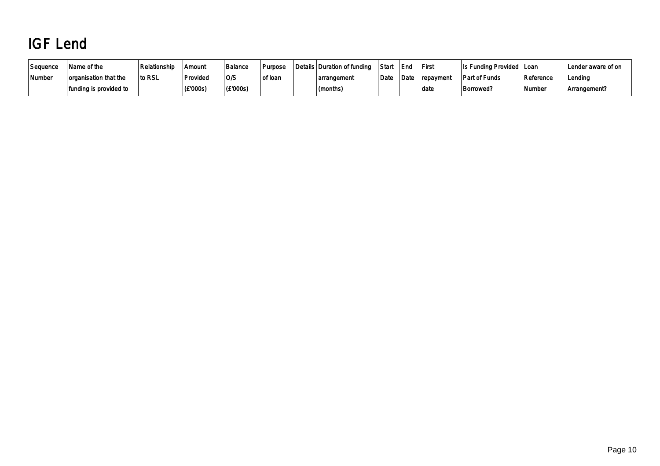# IGF Lend

| Sequence | Name of the            | Relationship | ' Amouni | Balance  | Purpose | Details Duration of funding | Star | l End             | <b>First</b> | Is Funding Provided   Loan |           | Lender aware of on |
|----------|------------------------|--------------|----------|----------|---------|-----------------------------|------|-------------------|--------------|----------------------------|-----------|--------------------|
| Number   | organisation that the  | to RSL       | Provideo | O/S      | of loan | arrangement                 | Date | <sup>1</sup> Date | repayment    | <b>Part of Funds</b>       | Reference | Lending            |
|          | funding is provided to |              | (E'000s) | (£'000s) |         | (months)                    |      |                   | l date       | <b>Borrowed?</b>           | Number    | Arrangement?       |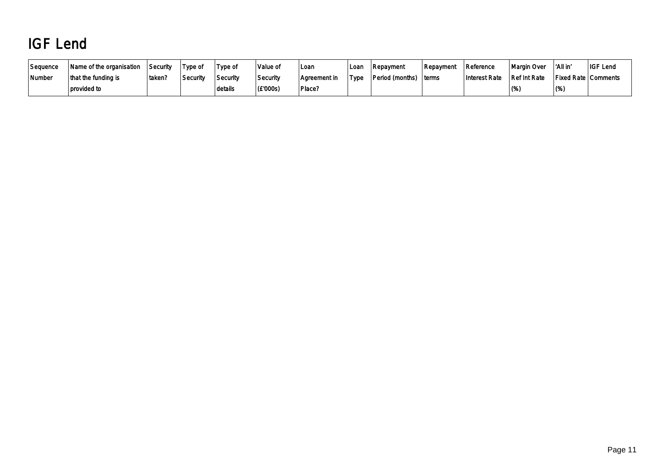# IGF Lend

| Sequence | Name of the organisation | Security | Type of  | Type of  | 'Value of | Loan         | Loan | <b>Repayment</b> | Repayment | Reference     | Margin Over  | 'All in               | <b>IGF Lend</b> |
|----------|--------------------------|----------|----------|----------|-----------|--------------|------|------------------|-----------|---------------|--------------|-----------------------|-----------------|
| Number   | that the funding is      | 'taken?  | Security | Security | Security  | Aareement in | Type | Period (months)  | ⊺terms    | Interest Rate | Ref Int Rate | Fixed Rate   Comments |                 |
|          | provided to              |          |          | details  | (E'000s)  | Place?       |      |                  |           |               | $(\%$        | (%                    |                 |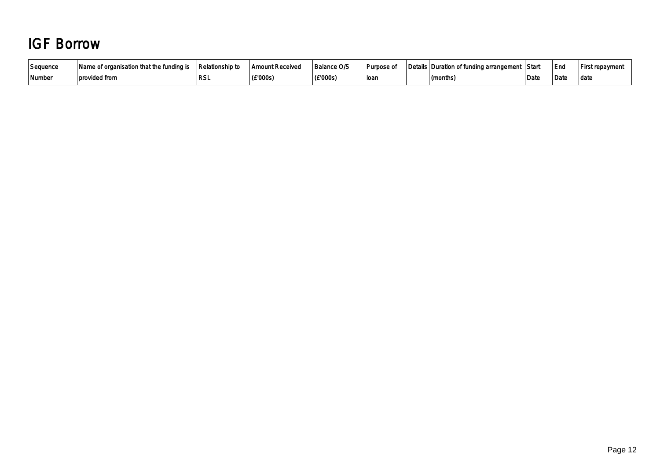### IGF Borrow

| Sequence            | Name of organisation that the funding is | <b>Relationship to</b> | <b>Amount Received</b> | <b>Balance O/S</b> | ∣Purpose of | Details Duration of funding arrangement Start |      | End  | First repayment |
|---------------------|------------------------------------------|------------------------|------------------------|--------------------|-------------|-----------------------------------------------|------|------|-----------------|
| <sup> </sup> Number | ⊥ provided from                          | וטח                    | (£'000s)               | (£'000s)           | loan        | (months)                                      | Date | Date | ∣ datc          |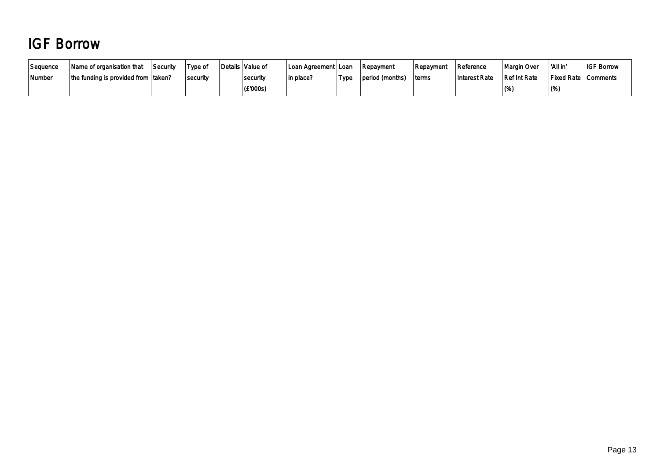## IGF Borrow

| Sequence | Name of organisation that                   | Security | Type of  | Details   Value of | ⊺Loan Agreement ⊦Loan |      | Repayment       | l Repavment | Reference     | Margin Over  | ∣ 'All in'                 | <b>IGF Borrow</b> |
|----------|---------------------------------------------|----------|----------|--------------------|-----------------------|------|-----------------|-------------|---------------|--------------|----------------------------|-------------------|
| Number   | the funding is provided from $\vert$ taken? |          | security | security           | in place?             | Type | period (months) | ∣terms      | Interest Rate | Ref Int Rate | <b>Fixed Rate Comments</b> |                   |
|          |                                             |          |          | (£'000s)           |                       |      |                 |             |               | (%)          | $(\%)$                     |                   |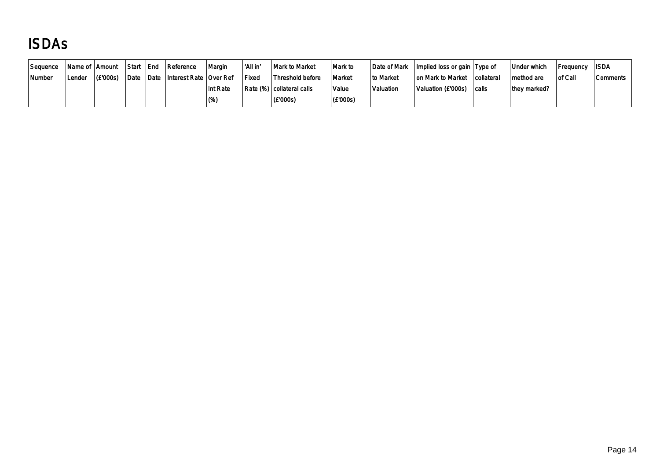# ISDAs

| Seauence |        | Name of Amount | l Start | l End | Reference                   | Margin   | 'All in' | Mark to Market              | ∣Mark to | Date of Mark | Implied loss or gain Type of |            | Under which  | Frequency | ∣ISDA    |
|----------|--------|----------------|---------|-------|-----------------------------|----------|----------|-----------------------------|----------|--------------|------------------------------|------------|--------------|-----------|----------|
| Number   | Lender | (E'000s)       | Date    |       | Date Interest Rate Over Ref |          | l Fixed  | Threshold before            | Market   | ∣to Market   | on Mark to Market            | collateral | method are   | of Call   | Comments |
|          |        |                |         |       |                             | Int Rate |          | Rate (%)   collateral calls | Value    | Valuation    | Valuation (£'000s)           | calls      | they marked? |           |          |
|          |        |                |         |       |                             | ' (%)    |          | (E'000s)                    | (£'000s) |              |                              |            |              |           |          |